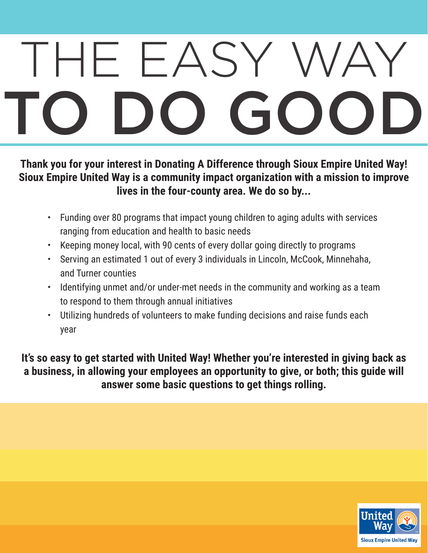## THE EASY ' TO DO GOOD

**Thank you for your interest in Donating A Difference through Sioux Empire United Way! Sioux Empire United Way is a community impact organization with a mission to improve lives in the four-county area. We do so by...**

- • Funding over 80 programs that impact young children to aging adults with services ranging from education and health to basic needs
- Keeping money local, with 90 cents of every dollar going directly to programs
- Serving an estimated 1 out of every 3 individuals in Lincoln, McCook, Minnehaha, and Turner counties
- Identifying unmet and/or under-met needs in the community and working as a team to respond to them through annual initiatives
- Utilizing hundreds of volunteers to make funding decisions and raise funds each year

**It's so easy to get started with United Way! Whether you're interested in giving back as a business, in allowing your employees an opportunity to give, or both; this guide will answer some basic questions to get things rolling.**